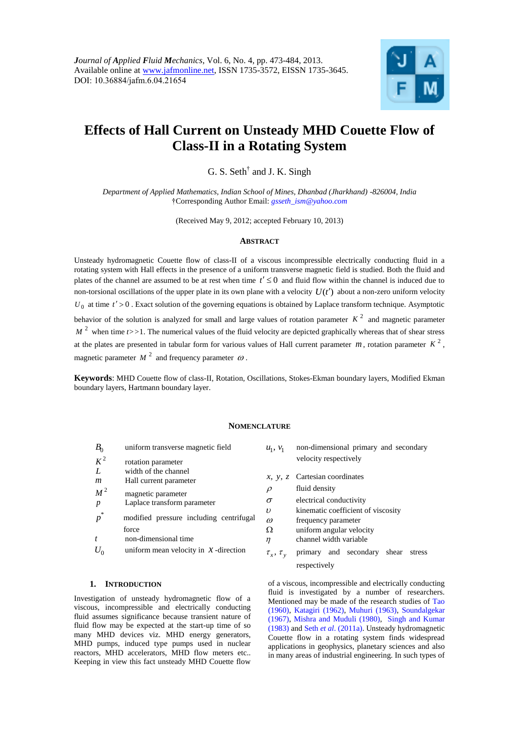

# **Effects of Hall Current on Unsteady MHD Couette Flow of Class-II in a Rotating System**

G. S. Seth<sup>†</sup> and J. K. Singh

*Department of Applied Mathematics, Indian School of Mines, Dhanbad (Jharkhand) -826004, India* †Corresponding Author Email: *gsseth\_ism@yahoo.com*

(Received May 9, 2012; accepted February 10, 2013)

#### **ABSTRACT**

Unsteady hydromagnetic Couette flow of class-II of a viscous incompressible electrically conducting fluid in a rotating system with Hall effects in the presence of a uniform transverse magnetic field is studied. Both the fluid and plates of the channel are assumed to be at rest when time  $t' \leq 0$  and fluid flow within the channel is induced due to non-torsional oscillations of the upper plate in its own plane with a velocity  $U(t')$  about a non-zero uniform velocity  $U_0$  at time  $t' > 0$ . Exact solution of the governing equations is obtained by Laplace transform technique. Asymptotic behavior of the solution is analyzed for small and large values of rotation parameter  $K<sup>2</sup>$  and magnetic parameter  $M<sup>2</sup>$  when time  $t>>1$ . The numerical values of the fluid velocity are depicted graphically whereas that of shear stress at the plates are presented in tabular form for various values of Hall current parameter  $m$ , rotation parameter  $K^2$ , magnetic parameter  $M^2$  and frequency parameter  $\omega$ .

**Keywords**: MHD Couette flow of class-II, Rotation, Oscillations, Stokes-Ekman boundary layers, Modified Ekman boundary layers, Hartmann boundary layer.

## **NOMENCLATURE**

| $B_0$  | uniform transverse magnetic field                | $u_1, v_1$                   | non-dimensi                  |
|--------|--------------------------------------------------|------------------------------|------------------------------|
| $K^2$  | rotation parameter                               |                              | velocity resp                |
| L<br>m | width of the channel<br>Hall current parameter   |                              | $x, y, z$ Cartesian co       |
| $M^2$  | magnetic parameter                               | ρ                            | fluid density                |
| p      | Laplace transform parameter                      | $\sigma$                     | electrical cor               |
| *<br>p | modified pressure including centrifugal<br>force | $\upsilon$<br>$\omega$       | kinematic co<br>frequency pa |
|        | non-dimensional time                             | Ω<br>η                       | uniform ang<br>channel wid   |
|        | uniform mean velocity in $\mathcal X$ -direction | $\tau_{\rm r}, \tau_{\rm v}$ | primary<br>an                |

#### **1. INTRODUCTION**

Investigation of unsteady hydromagnetic flow of a viscous, incompressible and electrically conducting fluid assumes significance because transient nature of fluid flow may be expected at the start-up time of so many MHD devices viz. MHD energy generators, MHD pumps, induced type pumps used in nuclear reactors, MHD accelerators, MHD flow meters etc.. Keeping in view this fact unsteady MHD Couette flow ional primary and secondary pectively

- oordinates
- 
- mductivity
- oefficient of viscosity
- arameter
- zular velocity
- lth variable
- ,  $\tau_x$ ,  $\tau_y$ nd secondary shear stress respectively

of a viscous, incompressible and electrically conducting fluid is investigated by a number of researchers. Mentioned may be made of the research studies of Tao (1960), Katagiri (1962), Muhuri (1963), Soundalgekar (1967), Mishra and Muduli (1980), Singh and Kumar (1983) and Seth *et al*. (2011a). Unsteady hydromagnetic Couette flow in a rotating system finds widespread applications in geophysics, planetary sciences and also in many areas of industrial engineering. In such types of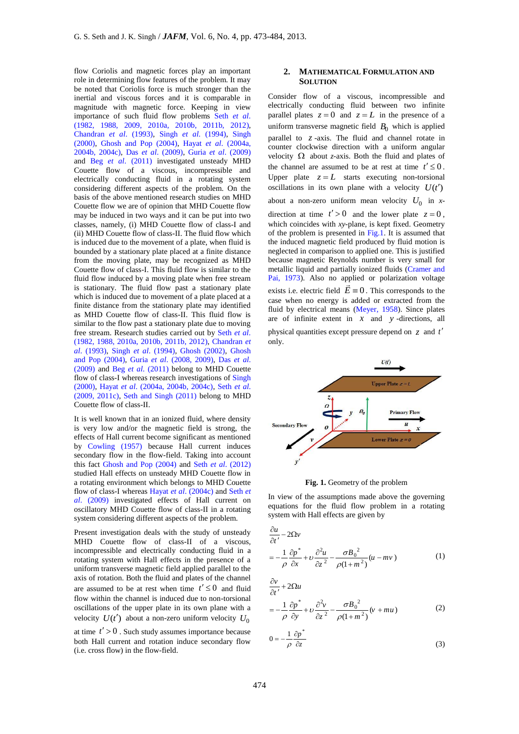flow Coriolis and magnetic forces play an important role in determining flow features of the problem. It may be noted that Coriolis force is much stronger than the inertial and viscous forces and it is comparable in magnitude with magnetic force. Keeping in view importance of such fluid flow problems Seth *et al*. (1982, 1988, 2009, 2010a, 2010b, 2011b, 2012), Chandran *et al*. (1993), Singh *et al*. (1994), Singh (2000), Ghosh and Pop (2004), Hayat *et al*. (2004a, 2004b, 2004c), Das *et al*. (2009), Guria *et al*. (2009) and Beg *et al*. (2011) investigated unsteady MHD Couette flow of a viscous, incompressible and electrically conducting fluid in a rotating system considering different aspects of the problem. On the basis of the above mentioned research studies on MHD Couette flow we are of opinion that MHD Couette flow may be induced in two ways and it can be put into two classes, namely, (i) MHD Couette flow of class-I and (ii) MHD Couette flow of class-II. The fluid flow which is induced due to the movement of a plate, when fluid is bounded by a stationary plate placed at a finite distance from the moving plate, may be recognized as MHD Couette flow of class-I. This fluid flow is similar to the fluid flow induced by a moving plate when free stream is stationary. The fluid flow past a stationary plate which is induced due to movement of a plate placed at a finite distance from the stationary plate may identified as MHD Couette flow of class-II. This fluid flow is similar to the flow past a stationary plate due to moving free stream. Research studies carried out by Seth *et al*. (1982, 1988, 2010a, 2010b, 2011b, 2012), Chandran *et al*. (1993), Singh *et al*. (1994), Ghosh (2002), Ghosh and Pop (2004), Guria *et al*. (2008, 2009), Das *et al*. (2009) and Beg *et al*. (2011) belong to MHD Couette flow of class-I whereas research investigations of Singh (2000), Hayat *et al*. (2004a, 2004b, 2004c), Seth *et al*. (2009, 2011c), Seth and Singh (2011) belong to MHD Couette flow of class-II.

It is well known that in an ionized fluid, where density is very low and/or the magnetic field is strong, the effects of Hall current become significant as mentioned by Cowling (1957) because Hall current induces secondary flow in the flow-field. Taking into account this fact Ghosh and Pop (2004) and Seth *et al*. (2012) studied Hall effects on unsteady MHD Couette flow in a rotating environment which belongs to MHD Couette flow of class-I whereas Hayat *et al*. (2004c) and Seth *et al*. (2009) investigated effects of Hall current on oscillatory MHD Couette flow of class-II in a rotating system considering different aspects of the problem.

Present investigation deals with the study of unsteady MHD Couette flow of class-II of a viscous, incompressible and electrically conducting fluid in a rotating system with Hall effects in the presence of a uniform transverse magnetic field applied parallel to the axis of rotation. Both the fluid and plates of the channel are assumed to be at rest when time  $t' \leq 0$  and fluid flow within the channel is induced due to non-torsional oscillations of the upper plate in its own plane with a velocity  $U(t')$  about a non-zero uniform velocity  $U_0$ 

at time  $t' > 0$ . Such study assumes importance because both Hall current and rotation induce secondary flow (i.e. cross flow) in the flow-field.

# **2. MATHEMATICAL FORMULATION AND SOLUTION**

Consider flow of a viscous, incompressible and electrically conducting fluid between two infinite parallel plates  $z = 0$  and  $z = L$  in the presence of a uniform transverse magnetic field  $B_0$  which is applied parallel to *z* -axis. The fluid and channel rotate in counter clockwise direction with a uniform angular velocity  $\Omega$  about *z*-axis. Both the fluid and plates of the channel are assumed to be at rest at time  $t' \leq 0$ . Upper plate  $z = L$  starts executing non-torsional oscillations in its own plane with a velocity  $U(t')$ about a non-zero uniform mean velocity  $U_0$  in *x*direction at time  $t' > 0$  and the lower plate  $z = 0$ , which coincides with *xy*-plane, is kept fixed. Geometry of the problem is presented in Fig.1. It is assumed that the induced magnetic field produced by fluid motion is neglected in comparison to applied one. This is justified because magnetic Reynolds number is very small for metallic liquid and partially ionized fluids (Cramer and Pai, 1973). Also no applied or polarization voltage exists i.e. electric field  $\vec{E} \equiv 0$ . This corresponds to the case when no energy is added or extracted from the fluid by electrical means (Meyer, 1958). Since plates are of infinite extent in  $x$  and  $y$ -directions, all

physical quantities except pressure depend on *z* and *t* only.



**Fig. 1.** Geometry of the problem

In view of the assumptions made above the governing equations for the fluid flow problem in a rotating system with Hall effects are given by

$$
\frac{\partial u}{\partial t'} - 2\Omega v
$$
  
=  $-\frac{1}{\rho} \frac{\partial p^*}{\partial x} + v \frac{\partial^2 u}{\partial z^2} - \frac{\sigma B_0^2}{\rho (1 + m^2)} (u - mv)$  (1)

$$
\frac{\partial v}{\partial t'} + 2\Omega u
$$
  
=  $-\frac{1}{\rho} \frac{\partial p^*}{\partial y} + v \frac{\partial^2 v}{\partial z^2} - \frac{\sigma B_0^2}{\rho (1 + m^2)} (v + mu)$  (2)

$$
0 = -\frac{1}{\rho} \frac{\partial p^*}{\partial z}
$$
 (3)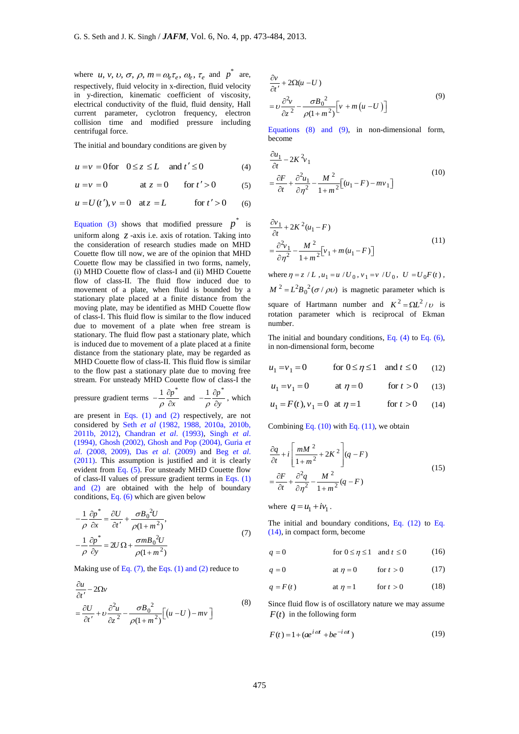where *u*, *v*, *v*,  $\sigma$ ,  $\rho$ ,  $m = \omega_e \tau_e$ ,  $\omega_e$ ,  $\tau_e$  and  $p^*$  are, respectively, fluid velocity in x-direction, fluid velocity in y-direction, kinematic coefficient of viscosity, electrical conductivity of the fluid, fluid density, Hall current parameter, cyclotron frequency, electron collision time and modified pressure including centrifugal force.

The initial and boundary conditions are given by

$$
u = v = 0 \text{ for } 0 \le z \le L \quad \text{and } t' \le 0 \tag{4}
$$

$$
u = v = 0
$$
 at  $z = 0$  for  $t' > 0$  (5)

$$
u = V = 0
$$
 or  $u = 0$  for  $t > 0$  (3)  
 $u = U(t'), v = 0$  at  $z = L$  for  $t' > 0$  (6)

Equation (3) shows that modified pressure  $p^*$  is uniform along *z* -axis i.e. axis of rotation. Taking into the consideration of research studies made on MHD Couette flow till now, we are of the opinion that MHD Couette flow may be classified in two forms, namely, (i) MHD Couette flow of class-I and (ii) MHD Couette flow of class-II. The fluid flow induced due to movement of a plate, when fluid is bounded by a stationary plate placed at a finite distance from the moving plate, may be identified as MHD Couette flow of class-I. This fluid flow is similar to the flow induced due to movement of a plate when free stream is stationary. The fluid flow past a stationary plate, which is induced due to movement of a plate placed at a finite distance from the stationary plate, may be regarded as MHD Couette flow of class-II. This fluid flow is similar to the flow past a stationary plate due to moving free stream. For unsteady MHD Couette flow of class-I the

pressure gradient terms 
$$
-\frac{1}{\rho} \frac{\partial p^*}{\partial x}
$$
 and  $-\frac{1}{\rho} \frac{\partial p^*}{\partial y}$ , which

are present in Eqs. (1) and (2) respectively, are not considered by Seth *et al* (1982, 1988, 2010a, 2010b, 2011b, 2012), Chandran *et al*. (1993), Singh *et al*. (1994), Ghosh (2002), Ghosh and Pop (2004), Guria *et al*. (2008, 2009), Das *et al*. (2009) and Beg *et al*. (2011). This assumption is justified and it is clearly evident from Eq. (5). For unsteady MHD Couette flow of class-II values of pressure gradient terms in Eqs. (1) and (2) are obtained with the help of boundary conditions, Eq. (6) which are given below

$$
-\frac{1}{\rho} \frac{\partial p^*}{\partial x} = \frac{\partial U}{\partial t'} + \frac{\sigma B_0^2 U}{\rho (1 + m^2)},
$$
  

$$
-\frac{1}{\rho} \frac{\partial p^*}{\partial y} = 2U \Omega + \frac{\sigma m B_0^2 U}{\rho (1 + m^2)}
$$
(7)

Making use of Eq.  $(7)$ , the Eqs.  $(1)$  and  $(2)$  reduce to

$$
\frac{\partial u}{\partial t'} - 2\Omega v
$$
\n
$$
= \frac{\partial U}{\partial t'} + v \frac{\partial^2 u}{\partial z^2} - \frac{\sigma B_0^2}{\rho (1 + m^2)} \Big[ (u - U) - mv \Big]
$$
\n(8)

$$
\frac{\partial v}{\partial t'} + 2\Omega(u - U) \n= v \frac{\partial^2 v}{\partial z^2} - \frac{\sigma B_0^2}{\rho(1 + m^2)} \Big[ v + m(u - U) \Big]
$$
\n(9)

Equations (8) and (9), in non-dimensional form, become

$$
\frac{\partial u_1}{\partial t} - 2K^2 v_1
$$
\n
$$
= \frac{\partial F}{\partial t} + \frac{\partial^2 u_1}{\partial \eta^2} - \frac{M^2}{1 + m^2} \left[ (u_1 - F) - mv_1 \right]
$$
\n(10)

$$
\frac{\partial v_1}{\partial t} + 2K^2(u_1 - F)
$$
  
= 
$$
\frac{\partial^2 v_1}{\partial \eta^2} - \frac{M^2}{1 + m^2} [v_1 + m(u_1 - F)]
$$
 (11)

where  $\eta = z / L$ ,  $u_1 = u / U_0$ ,  $v_1 = v / U_0$ ,  $U = U_0 F(t)$ ,  $M^2 = L^2 B_0^2 (\sigma / \rho v)$  is magnetic parameter which is square of Hartmann number and  $K^2 = \Omega L^2 / v$  is rotation parameter which is reciprocal of Ekman number.

The initial and boundary conditions, Eq. (4) to Eq. (6), in non-dimensional form, become

$$
u_1 = v_1 = 0 \qquad \text{for } 0 \le \eta \le 1 \quad \text{and } t \le 0 \qquad (12)
$$

$$
u_1 = v_1 = 0
$$
 at  $\eta = 0$  for  $t > 0$  (13)

$$
u_1 = F(t), v_1 = 0
$$
 at  $\eta = 1$  for  $t > 0$  (14)

Combining Eq.  $(10)$  with Eq.  $(11)$ , we obtain

$$
\frac{\partial q}{\partial t} + i \left[ \frac{mM^2}{1 + m^2} + 2K^2 \right] (q - F)
$$
  
=  $\frac{\partial F}{\partial t} + \frac{\partial^2 q}{\partial \eta^2} - \frac{M^2}{1 + m^2} (q - F)$  (15)

where  $q = u_1 + iv_1$ .

The initial and boundary conditions, Eq. (12) to Eq. (14), in compact form, become

 $q = 0$  for  $0 \le \eta \le 1$  and  $t \le 0$ (16)

$$
q = 0 \qquad \text{at } \eta = 0 \qquad \text{for } t > 0 \qquad (17)
$$

$$
q = F(t) \qquad \text{at } \eta = 1 \qquad \text{for } t > 0 \qquad (18)
$$

Since fluid flow is of oscillatory nature we may assume  $F(t)$  in the following form

$$
F(t) = 1 + (ae^{i\omega t} + be^{-i\omega t})
$$
\n(19)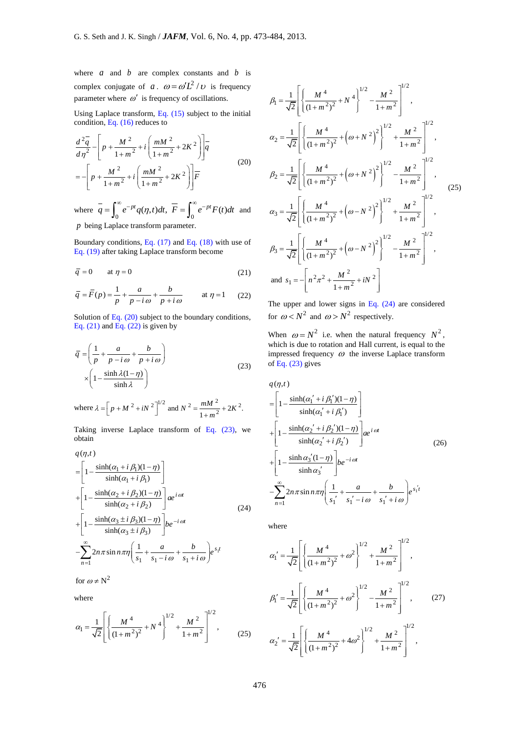where  $a$  and  $b$  are complex constants and  $b$  is complex conjugate of *a*.  $\omega = \omega' L^2 / \omega$  is frequency parameter where  $\omega'$  is frequency of oscillations.

Using Laplace transform, Eq. (15) subject to the initial condition, Eq. (16) reduces to

$$
\frac{d^2\overline{q}}{d\eta^2} - \left[ p + \frac{M^2}{1+m^2} + i \left( \frac{mM^2}{1+m^2} + 2K^2 \right) \right] \overline{q}
$$
  
= 
$$
- \left[ p + \frac{M^2}{1+m^2} + i \left( \frac{mM^2}{1+m^2} + 2K^2 \right) \right] \overline{F}
$$
(20)

where  $\overline{q} = \int_0^\infty e^{-pt} q(\eta, t) dt$ ,  $\overline{F} = \int_0^\infty e^{-pt} F(t) dt$  $=\int_0^\infty e^{-pt}q(\eta,t)dt, \ \overline{F}=\int_0^\infty e^{-pt}F(t)dt$ and *p* being Laplace transform parameter.

Boundary conditions, Eq. (17) and Eq. (18) with use of Eq. (19) after taking Laplace transform become

$$
\overline{q} = 0 \qquad \text{at } \eta = 0 \tag{21}
$$

$$
\overline{q} = \overline{F}(p) = \frac{1}{p} + \frac{a}{p - i\omega} + \frac{b}{p + i\omega} \quad \text{at } \eta = 1 \quad (22)
$$

Solution of Eq. (20) subject to the boundary conditions, Eq. (21) and Eq. (22) is given by

$$
\overline{q} = \left(\frac{1}{p} + \frac{a}{p - i\omega} + \frac{b}{p + i\omega}\right)
$$
  
 
$$
\times \left(1 - \frac{\sinh \lambda (1 - \eta)}{\sinh \lambda}\right)
$$
 (23)

where 
$$
\lambda = \left[ p + M^2 + iN^2 \right]^{1/2}
$$
 and  $N^2 = \frac{mM^2}{1 + m^2} + 2K^2$ .

Taking inverse Laplace transform of Eq. (23), we obtain

$$
q(\eta, t)
$$
\n
$$
= \left[1 - \frac{\sinh(\alpha_1 + i \beta_1)(1 - \eta)}{\sinh(\alpha_1 + i \beta_1)}\right]
$$
\n
$$
+ \left[1 - \frac{\sinh(\alpha_2 + i \beta_2)(1 - \eta)}{\sinh(\alpha_2 + i \beta_2)}\right] a e^{i \omega t}
$$
\n
$$
+ \left[1 - \frac{\sinh(\alpha_3 \pm i \beta_3)(1 - \eta)}{\sinh(\alpha_3 \pm i \beta_3)}\right] b e^{-i \omega t}
$$
\n
$$
- \sum_{n=1}^{\infty} 2n \pi \sin n \pi \eta \left(\frac{1}{s_1} + \frac{a}{s_1 - i \omega} + \frac{b}{s_1 + i \omega}\right) e^{s_1 t}
$$

for  $\omega \neq N^2$ 

where

$$
\alpha_1 = \frac{1}{\sqrt{2}} \left[ \left\{ \frac{M^4}{(1+m^2)^2} + N^4 \right\}^{1/2} + \frac{M^2}{1+m^2} \right]^{1/2},\tag{25}
$$

$$
\beta_1 = \frac{1}{\sqrt{2}} \left[ \left\{ \frac{M^4}{(1+m^2)^2} + N^4 \right\}^{1/2} - \frac{M^2}{1+m^2} \right]^{1/2},
$$
  
\n
$$
\alpha_2 = \frac{1}{\sqrt{2}} \left[ \left\{ \frac{M^4}{(1+m^2)^2} + \left(\omega + N^2\right)^2 \right\}^{1/2} + \frac{M^2}{1+m^2} \right]^{1/2},
$$
  
\n
$$
\beta_2 = \frac{1}{\sqrt{2}} \left[ \left\{ \frac{M^4}{(1+m^2)^2} + \left(\omega + N^2\right)^2 \right\}^{1/2} - \frac{M^2}{1+m^2} \right]^{1/2},
$$
  
\n
$$
\alpha_3 = \frac{1}{\sqrt{2}} \left[ \left\{ \frac{M^4}{(1+m^2)^2} + \left(\omega - N^2\right)^2 \right\}^{1/2} + \frac{M^2}{1+m^2} \right]^{1/2},
$$
  
\n
$$
\beta_3 = \frac{1}{\sqrt{2}} \left[ \left\{ \frac{M^4}{(1+m^2)^2} + \left(\omega - N^2\right)^2 \right\}^{1/2} - \frac{M^2}{1+m^2} \right]^{1/2},
$$
  
\nand 
$$
s_1 = -\left[ n^2 \pi^2 + \frac{M^2}{1+m^2} + iN^2 \right]
$$

The upper and lower signs in Eq.  $(24)$  are considered for  $\omega < N^2$  and  $\omega > N^2$  respectively.

When  $\omega = N^2$  i.e. when the natural frequency  $N^2$ , which is due to rotation and Hall current, is equal to the impressed frequency  $\omega$  the inverse Laplace transform of Eq. (23) gives

$$
q(\eta, t)
$$
\n
$$
= \left[ 1 - \frac{\sinh(\alpha'_1 + i \beta'_1)(1 - \eta)}{\sinh(\alpha'_1 + i \beta'_1)} \right]
$$
\n
$$
+ \left[ 1 - \frac{\sinh(\alpha'_2 + i \beta'_2)(1 - \eta)}{\sinh(\alpha'_2 + i \beta'_2)} \right] \stackrel{\text{a.e. } i \text{ or } j}{=} \pi
$$
\n
$$
+ \left[ 1 - \frac{\sinh \alpha'_3(1 - \eta)}{\sinh \alpha'_3} \right] b e^{-i \text{ or } j}
$$
\n
$$
- \sum_{n=1}^{\infty} 2n \pi \sin n \pi \eta \left( \frac{1}{s_1'} + \frac{a}{s_1' - i \omega} + \frac{b}{s_1' + i \omega} \right) e^{s_1' t}
$$
\n(26)

where

$$
\alpha_1' = \frac{1}{\sqrt{2}} \left[ \left\{ \frac{M^4}{(1+m^2)^2} + \omega^2 \right\}^{1/2} + \frac{M^2}{1+m^2} \right]^{1/2},
$$
  

$$
\beta_1' = \frac{1}{\sqrt{2}} \left[ \left\{ \frac{M^4}{(1+m^2)^2} + \omega^2 \right\}^{1/2} - \frac{M^2}{1+m^2} \right]^{1/2}, \qquad (27)
$$
  

$$
\alpha_2' = \frac{1}{\sqrt{2}} \left[ \left\{ \frac{M^4}{(1+m^2)^2} + 4\omega^2 \right\}^{1/2} + \frac{M^2}{1+m^2} \right]^{1/2},
$$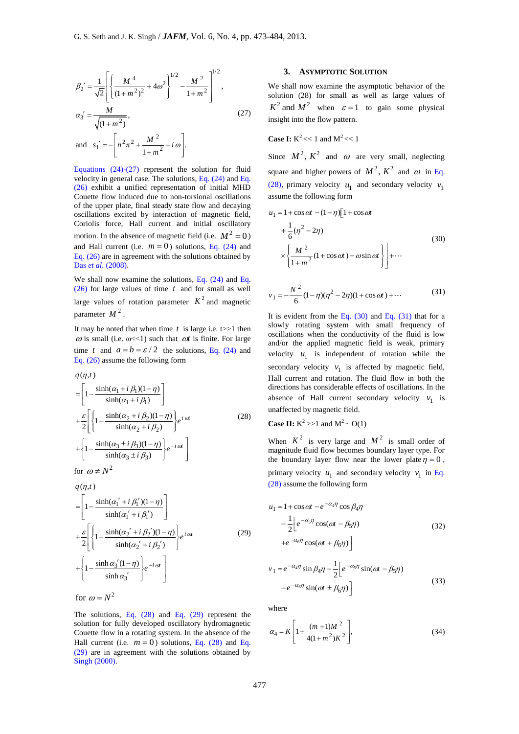$$
\beta_2' = \frac{1}{\sqrt{2}} \left[ \left\{ \frac{M^4}{(1+m^2)^2} + 4\omega^2 \right\}^{1/2} - \frac{M^2}{1+m^2} \right]^{1/2},
$$
  
\n
$$
\alpha_3' = \frac{M}{\sqrt{(1+m^2)}},
$$
  
\nand 
$$
s_1' = -\left[ n^2 \pi^2 + \frac{M^2}{1+m^2} + i\omega \right].
$$
 (27)

Equations  $(24)-(27)$  represent the solution for fluid velocity in general case. The solutions, Eq. (24) and Eq. (26) exhibit a unified representation of initial MHD Couette flow induced due to non-torsional oscillations of the upper plate, final steady state flow and decaying oscillations excited by interaction of magnetic field, Coriolis force, Hall current and initial oscillatory motion. In the absence of magnetic field (i.e.  $M^2 = 0$ ) and Hall current (i.e.  $m = 0$ ) solutions, Eq. (24) and Eq. (26) are in agreement with the solutions obtained by Das *et al*. (2008).

We shall now examine the solutions, Eq. (24) and Eq. (26) for large values of time *t* and for small as well large values of rotation parameter  $K^2$  and magnetic parameter  $M^2$ .

It may be noted that when time  $t$  is large i.e.  $t>>1$  then  $\omega$  is small (i.e.  $\omega \ll 1$ ) such that  $\omega t$  is finite. For large time t and  $a = b = \varepsilon / 2$  the solutions, Eq. (24) and Eq. (26) assume the following form

$$
q(\eta, t)
$$
\n
$$
= \left[1 - \frac{\sinh(\alpha_1 + i \beta_1)(1 - \eta)}{\sinh(\alpha_1 + i \beta_1)}\right]
$$
\n
$$
+ \frac{\varepsilon}{2} \left[\left\{1 - \frac{\sinh(\alpha_2 + i \beta_2)(1 - \eta)}{\sinh(\alpha_2 + i \beta_2)}\right\} e^{i \omega t} + \left\{1 - \frac{\sinh(\alpha_3 \pm i \beta_3)(1 - \eta)}{\sinh(\alpha_3 \pm i \beta_3)}\right\} e^{-i \omega t}\right]
$$
\n(28)\n
$$
\text{for } \omega \neq N^2
$$

$$
q(\eta, t)
$$
\n
$$
= \left[1 - \frac{\sinh(\alpha_1' + i \beta_1')(1 - \eta)}{\sinh(\alpha_1' + i \beta_1')} \right]
$$
\n
$$
+ \frac{\varepsilon}{2} \left[ \left\{1 - \frac{\sinh(\alpha_2' + i \beta_2')(1 - \eta)}{\sinh(\alpha_2' + i \beta_2')} \right\} e^{i \alpha t} \right]
$$
\n
$$
+ \left\{1 - \frac{\sinh \alpha_3'(1 - \eta)}{\sinh \alpha_3'} \right\} e^{-i \alpha t} \right]
$$
\nfor  $\omega = N^2$  (29)

The solutions, Eq. (28) and Eq. (29) represent the solution for fully developed oscillatory hydromagnetic Couette flow in a rotating system. In the absence of the Hall current (i.e.  $m = 0$ ) solutions, Eq. (28) and Eq. (29) are in agreement with the solutions obtained by Singh (2000).

# **3. ASYMPTOTIC SOLUTION**

We shall now examine the asymptotic behavior of the solution (28) for small as well as large values of  $K^2$  and  $M^2$  when  $\varepsilon = 1$  to gain some physical insight into the flow pattern.

**Case I:**  $K^2 \ll 1$  and  $M^2 \ll 1$ 

Since  $M^2$ ,  $K^2$  and  $\omega$  are very small, neglecting square and higher powers of  $M^2$ ,  $K^2$  and  $\omega$  in Eq. (28), primary velocity  $u_1$  and secondary velocity  $v_1$ assume the following form

$$
u_1 = 1 + \cos \omega t - (1 - \eta) \left[ 1 + \cos \omega t + \frac{1}{6} (\eta^2 - 2\eta) + \frac{1}{6} (\eta^2 - 2\eta) \right]
$$
\n
$$
\times \left\{ \frac{M^2}{1 + m^2} (1 + \cos \omega t) - \omega \sin \omega t \right\} \right] + \cdots
$$
\n(30)

$$
v_1 = -\frac{N^2}{6}(1-\eta)(\eta^2 - 2\eta)(1 + \cos \omega t) + \cdots
$$
 (31)

It is evident from the Eq.  $(30)$  and Eq.  $(31)$  that for a slowly rotating system with small frequency of oscillations when the conductivity of the fluid is low and/or the applied magnetic field is weak, primary velocity  $u_1$  is independent of rotation while the secondary velocity  $v_1$  is affected by magnetic field, Hall current and rotation. The fluid flow in both the directions has considerable effects of oscillations. In the absence of Hall current secondary velocity  $v_1$  is unaffected by magnetic field.

**Case II:** 
$$
K^2 >> 1
$$
 and  $M^2 \sim O(1)$ 

When  $K^2$  is very large and  $M^2$  is small order of magnitude fluid flow becomes boundary layer type. For the boundary layer flow near the lower plate  $\eta = 0$ , primary velocity  $u_1$  and secondary velocity  $v_1$  in Eq. (28) assume the following form

$$
u_1 = 1 + \cos \omega t - e^{-\alpha_4 \eta} \cos \beta_4 \eta
$$
  

$$
- \frac{1}{2} \Big[ e^{-\alpha_5 \eta} \cos(\omega t - \beta_5 \eta) + e^{-\alpha_6 \eta} \cos(\omega t + \beta_6 \eta) \Big]
$$
(32)

$$
v_1 = e^{-\alpha_4 \eta} \sin \beta_4 \eta - \frac{1}{2} \left[ e^{-\alpha_5 \eta} \sin(\omega t - \beta_5 \eta) - e^{-\alpha_6 \eta} \sin(\omega t \pm \beta_6 \eta) \right]
$$
(33)

where

$$
\alpha_4 = K \left[ 1 + \frac{(m+1)M^2}{4(1+m^2)K^2} \right],
$$
\n(34)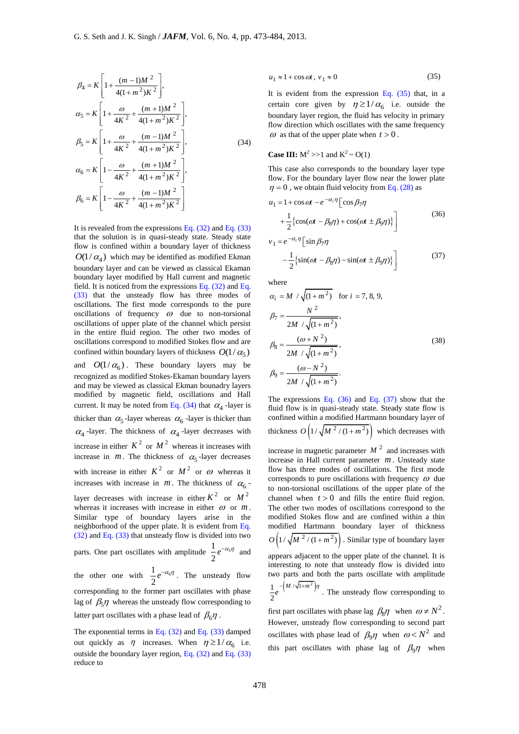$$
\beta_4 = K \left[ 1 + \frac{(m-1)M^2}{4(1+m^2)K^2} \right],
$$
\n
$$
\alpha_5 = K \left[ 1 + \frac{\omega}{4K^2} + \frac{(m+1)M^2}{4(1+m^2)K^2} \right],
$$
\n
$$
\beta_5 = K \left[ 1 + \frac{\omega}{4K^2} + \frac{(m-1)M^2}{4(1+m^2)K^2} \right],
$$
\n
$$
\alpha_6 = K \left[ 1 - \frac{\omega}{4K^2} + \frac{(m+1)M^2}{4(1+m^2)K^2} \right],
$$
\n
$$
\beta_6 = K \left[ 1 - \frac{\omega}{4K^2} + \frac{(m-1)M^2}{4(1+m^2)K^2} \right].
$$
\n(34)

It is revealed from the expressions Eq.  $(32)$  and Eq.  $(33)$ that the solution is in quasi-steady state. Steady state flow is confined within a boundary layer of thickness  $O(1/\alpha_4)$  which may be identified as modified Ekman boundary layer and can be viewed as classical Ekaman boundary layer modified by Hall current and magnetic field. It is noticed from the expressions Eq. (32) and Eq. (33) that the unsteady flow has three modes of oscillations. The first mode corresponds to the pure oscillations of frequency  $\omega$  due to non-torsional oscillations of upper plate of the channel which persist in the entire fluid region. The other two modes of oscillations correspond to modified Stokes flow and are confined within boundary layers of thickness  $O(1/\alpha_5)$ and  $O(1/\alpha_6)$ . These boundary layers may be recognized as modified Stokes-Ekaman boundary layers and may be viewed as classical Ekman bounadry layers modified by magnetic field, oscillations and Hall current. It may be noted from Eq.  $(34)$  that  $\alpha_4$ -layer is thicker than  $\alpha_5$ -layer whereas  $\alpha_6$ -layer is thicker than  $\alpha_4$ -layer. The thickness of  $\alpha_4$ -layer decreases with increase in either  $K^2$  or  $M^2$  whereas it increases with increase in  $m$ . The thickness of  $\alpha_5$ -layer decreases with increase in either  $K^2$  or  $M^2$  or  $\omega$  whereas it increases with increase in  $m$ . The thickness of  $\alpha_6$ layer decreases with increase in either  $K^2$  or  $M^2$ whereas it increases with increase in either  $\omega$  or  $m$ . Similar type of boundary layers arise in the neighborhood of the upper plate. It is evident from Eq. (32) and Eq. (33) that unsteady flow is divided into two parts. One part oscillates with amplitude  $\frac{1}{2}e^{-\alpha_5}$  $\frac{1}{2}e^{-\alpha_5 \eta}$  and the other one with  $\frac{1}{2}e^{-\alpha_6}$  $\frac{1}{2}e^{-\alpha_6\eta}$ . The unsteady flow corresponding to the former part oscillates with phase lag of  $\beta_5 \eta$  whereas the unsteady flow corresponding to latter part oscillates with a phase lead of  $\beta_6\eta$ .

The exponential terms in Eq. (32) and Eq. (33) damped out quickly as  $\eta$  increases. When  $\eta \ge 1/\alpha_6$  i.e. outside the boundary layer region, Eq.  $(32)$  and Eq.  $(33)$ reduce to

$$
u_1 \approx 1 + \cos \omega t, \, v_1 \approx 0 \tag{35}
$$

It is evident from the expression Eq. (35) that, in a certain core given by  $\eta \geq 1/\alpha_6$  i.e. outside the boundary layer region, the fluid has velocity in primary flow direction which oscillates with the same frequency  $\omega$  as that of the upper plate when  $t > 0$ .

## **Case III:**  $M^2$  >>1 and  $K^2 \sim O(1)$

This case also corresponds to the boundary layer type flow. For the boundary layer flow near the lower plate  $\eta = 0$ , we obtain fluid velocity from Eq. (28) as

$$
u_1 = 1 + \cos \omega t - e^{-\alpha_i \eta} \left[ \cos \beta_7 \eta + \frac{1}{2} \{ \cos(\omega t - \beta_8 \eta) + \cos(\omega t \pm \beta_9 \eta) \} \right]
$$
(36)  

$$
v_1 = e^{-\alpha_i \eta} \left[ \sin \beta_7 \eta \right]
$$

$$
1 - e^{-\frac{1}{2}\left\{\sin(\omega t - \beta_8 \eta) - \sin(\omega t \pm \beta_9 \eta)\right\}} \Bigg]
$$
(37)

where

$$
\alpha_{i} = M / \sqrt{(1 + m^{2})} \quad \text{for } i = 7, 8, 9,
$$
\n
$$
\beta_{7} = \frac{N^{2}}{2M / \sqrt{(1 + m^{2})}},
$$
\n
$$
\beta_{8} = \frac{(\omega + N^{2})}{2M / \sqrt{(1 + m^{2})}},
$$
\n
$$
\beta_{9} = \frac{(\omega - N^{2})}{2M / \sqrt{(1 + m^{2})}}.
$$
\n(38)

The expressions Eq.  $(36)$  and Eq.  $(37)$  show that the fluid flow is in quasi-steady state. Steady state flow is confined within a modified Hartmann boundary layer of thickness  $O\left(1/\sqrt{M^2/(1+m^2)}\right)$  which decreases with increase in magnetic parameter  $M<sup>2</sup>$  and increases with

increase in Hall current parameter *m* . Unsteady state flow has three modes of oscillations. The first mode corresponds to pure oscillations with frequency  $\omega$  due to non-torsional oscillations of the upper plate of the channel when  $t > 0$  and fills the entire fluid region. The other two modes of oscillations correspond to the modified Stokes flow and are confined within a thin modified Hartmann boundary layer of thickness  $O\left(1/\sqrt{M^2/(1+m^2)}\right)$ . Similar type of boundary layer appears adjacent to the upper plate of the channel. It is

interesting to note that unsteady flow is divided into two parts and both the parts oscillate with amplitude  $1 - \left(M / \sqrt{1 + m^2}\right)$ 2  $e^{-\left(M/\sqrt{1+m^2}\right)\eta}$ . The unsteady flow corresponding to

first part oscillates with phase lag  $\beta_8 \eta$  when  $\omega \neq N^2$ . However, unsteady flow corresponding to second part oscillates with phase lead of  $\beta_9 \eta$  when  $\omega < N^2$  and this part oscillates with phase lag of  $\beta_9 \eta$  when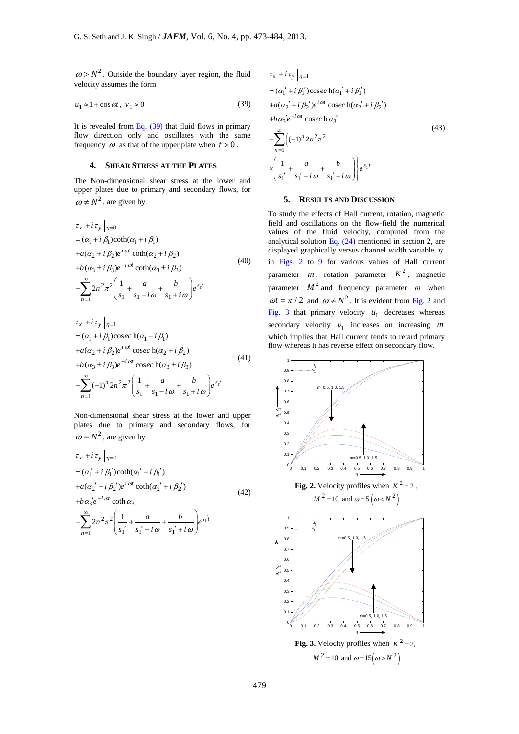$\omega > N^2$ . Outside the boundary layer region, the fluid velocity assumes the form

$$
u_1 \approx 1 + \cos \omega t, \ v_1 \approx 0 \tag{39}
$$

It is revealed from Eq.  $(39)$  that fluid flows in primary flow direction only and oscillates with the same frequency  $\omega$  as that of the upper plate when  $t > 0$ .

# **4. SHEAR STRESS AT THE PLATES**

The Non-dimensional shear stress at the lower and upper plates due to primary and secondary flows, for  $\omega \neq N^2$ , are given by

$$
ω > N^2
$$
. Outside the boundary layer region, the fluid  
velocity assumes the form  
\n $u_1 ≈ 1 + cos αt$ ,  $v_1 ≈ 0$  (39)  
\nIt is revealed from Eq. (39) that fluid flows in primary  
\nflow direction only and oscillates with the same  
\nfrequency ω as that of the upper plate when  $t > 0$ .  
\n4. SHEAR STRESS AT THE PLATES  
\nThe Non-dimensional shear stress at the lower and  
\nupper plates due to primary and secondary flows, for  
\n $ω ≠ N^2$ , are given by  
\n
$$
\tau_x + i\tau_y |_{\eta=0}
$$
\n
$$
= (α_1 + i β_1)coth(α_1 + i β_1)
$$
\n
$$
+ a(α_2 + i β_2)e^{iα} \coth(α_2 + i β_2)
$$
\n
$$
+ b(α_3 ± i β_3)e^{-iα} \coth(α_3 ± i β_3)
$$
\n
$$
- \sum_{n=1}^{\infty} 2n^2 \pi^2 \left( \frac{1}{s_1} + \frac{a}{s_1 - i \omega} + \frac{b}{s_1 + i \omega} \right) e^{s_1 t}
$$
\n
$$
\tau_x + i\tau_y |_{\eta=1}
$$
\n
$$
= (α_1 + i β_1) cosec (α_1 + i β_1)
$$
\n
$$
+ a(α_2 + i β_2)e^{iα} \csc (α_2 + i β_2)
$$
\n
$$
+ b(α_3 ± i β_3)e^{-iα} \csc (α_3 ± i β_3)
$$
\n(A1)  
\n
$$
+ a(α_2 + i β_2)e^{iα} \csc (α_3 ± i β_3)
$$
\n(A2)  
\n
$$
+ b(α_3 ± i β_3)e^{-iα} \csc (α_3 ± i β_3)
$$
\n(A3)  
\n
$$
+ a(α_2 + i β_2)e^{iα} \csc (α_3 ± i β_3)
$$
\n(A4)  
\n
$$
+ a(α_2 + i β_2)e^{iα} \csc (α_3 ± i β_3)
$$
\n(A5)  
\n
$$
= \sum_{n=1}^{\infty} (-1)^n 2n^2 \pi^2 \left( \frac{1}{s_1} + \frac{a}{s_1 - i \omega} + \frac{b}{s_1 +
$$

$$
\tau_x + i \tau_y |_{\eta=1}
$$
  
=  $(\alpha_1 + i \beta_1) \csc \alpha (\alpha_1 + i \beta_1)$   
+ $a(\alpha_2 + i \beta_2) e^{i \alpha t} \csc \alpha (\alpha_2 + i \beta_2)$   
+ $b(\alpha_3 \pm i \beta_3) e^{-i \alpha t} \csc \alpha (\alpha_3 \pm i \beta_3)$   

$$
-\sum_{n=1}^{\infty} (-1)^n 2n^2 \pi^2 \left(\frac{1}{s_1} + \frac{a}{s_1 - i \omega} + \frac{b}{s_1 + i \omega}\right) e^{s_1 t}
$$
 (41)

Non-dimensional shear stress at the lower and upper plates due to primary and secondary flows, for  $\omega = N^2$ , are given by

 $\int_{-1}^{1}$  (-1)<sup>2</sup>  $2n^{-}\pi^{-}$   $\left(\frac{-1}{s_1} + \frac{1}{s_1 - i \omega} + \frac{1}{s_1}\right)$ 

*n*

$$
\tau_x + i \tau_y |_{\eta=0}
$$
  
=  $(\alpha'_1 + i \beta'_1) \coth(\alpha'_1 + i \beta'_1)$   
+ $a(\alpha'_2 + i \beta'_2) e^{i\omega t} \coth(\alpha'_2 + i \beta'_2)$   
+ $b\alpha'_3 e^{-i\omega t} \coth\alpha'_3$   

$$
-\sum_{n=1}^{\infty} 2n^2 \pi^2 \left(\frac{1}{s'_1} + \frac{a}{s'_1 - i\omega} + \frac{b}{s'_1 + i\omega} e^{s'_1 t}\right)
$$
 (42)

$$
\tau_x + i\tau_y |_{\eta=1}
$$
  
=  $(\alpha'_1 + i\beta'_1)\csc\alpha(\alpha'_1 + i\beta'_1)$   
+ $a(\alpha'_2 + i\beta'_2)e^{i\omega t}\csc\alpha(\alpha'_2 + i\beta'_2)$   
+ $b\alpha'_3e^{-i\omega t}\csc\alpha'_3$   

$$
-\sum_{n=1}^{\infty} \{(-1)^n 2n^2\pi^2
$$
  

$$
\times \left(\frac{1}{s'_1} + \frac{a}{s'_1 - i\omega} + \frac{b}{s'_1 + i\omega}\right)\ e^{s'_1 t}
$$
 (43)

#### **5. RESULTS AND DISCUSSION**

To study the effects of Hall current, rotation, magnetic field and oscillations on the flow-field the numerical values of the fluid velocity, computed from the analytical solution Eq. (24) mentioned in section 2, are displayed graphically versus channel width variable  $\eta$ in Figs. 2 to 9 for various values of Hall current parameter  $m$ , rotation parameter  $K^2$ , magnetic parameter  $M^2$  and frequency parameter  $\omega$  when  $\omega t = \pi / 2$  and  $\omega \neq N^2$ . It is evident from Fig. 2 and Fig. 3 that primary velocity  $u_1$  decreases whereas secondary velocity  $v_1$  increases on increasing  $m$ which implies that Hall current tends to retard primary flow whereas it has reverse effect on secondary flow.

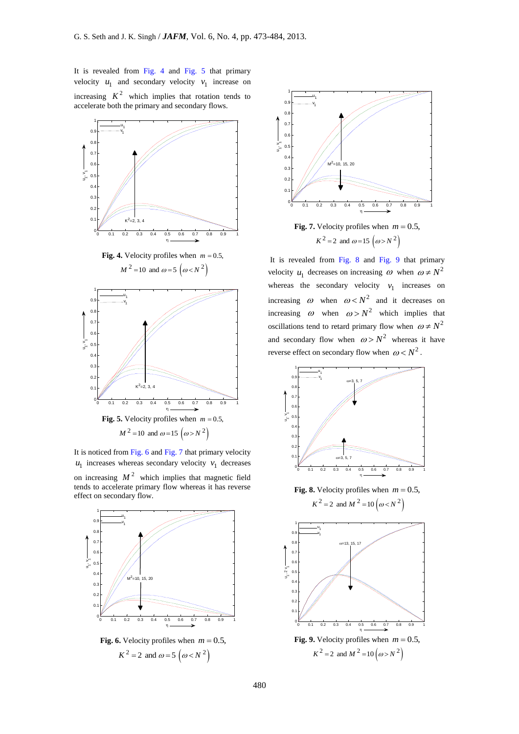It is revealed from Fig. 4 and Fig. 5 that primary velocity  $u_1$  and secondary velocity  $v_1$  increase on increasing  $K^2$  which implies that rotation tends to accelerate both the primary and secondary flows.



**Fig. 4.** Velocity profiles when  $m = 0.5$ ,  $M^2 = 10$  and  $\omega = 5 \left( \omega < N^2 \right)$ 



It is noticed from Fig. 6 and Fig. 7 that primary velocity  $u_1$  increases whereas secondary velocity  $v_1$  decreases on increasing  $M^2$  which implies that magnetic field tends to accelerate primary flow whereas it has reverse effect on secondary flow.



**Fig. 6.** Velocity profiles when  $m = 0.5$ ,  $K^2 = 2$  and  $\omega = 5 \left( \omega \lt N^2 \right)$ 



**Fig.** 7. Velocity profiles when  $m = 0.5$ ,  $K^2 = 2$  and  $\omega = 15 \left( \omega > N^2 \right)$ 

It is revealed from Fig. 8 and Fig. 9 that primary velocity  $u_1$  decreases on increasing  $\omega$  when  $\omega \neq N^2$ whereas the secondary velocity  $v_1$  increases on increasing  $\omega$  when  $\omega < N^2$  and it decreases on increasing  $\omega$  when  $\omega > N^2$  which implies that oscillations tend to retard primary flow when  $\omega \neq N^2$ and secondary flow when  $\omega > N^2$  whereas it have reverse effect on secondary flow when  $\omega < N^2$ .

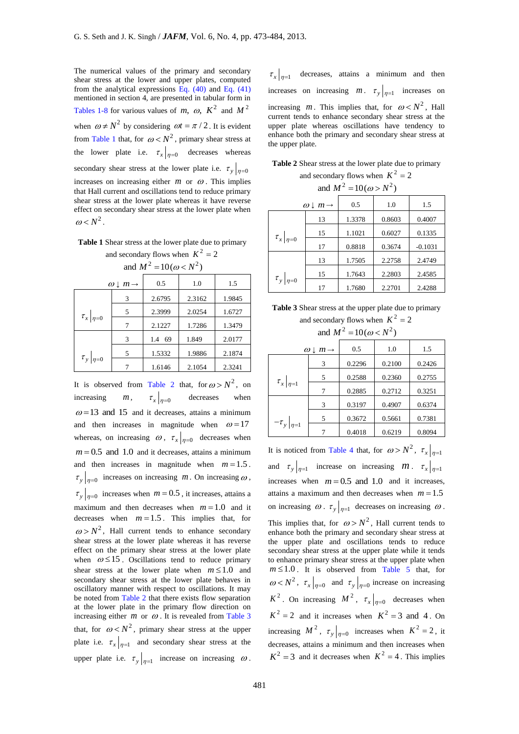The numerical values of the primary and secondary shear stress at the lower and upper plates, computed from the analytical expressions Eq. (40) and Eq. (41) mentioned in section 4, are presented in tabular form in Tables 1-8 for various values of m,  $\omega$ ,  $K^2$  and  $M^2$ when  $\omega \neq N^2$  by considering  $\omega t = \pi / 2$ . It is evident from Table 1 that, for  $\omega < N^2$ , primary shear stress at the lower plate i.e.  $\tau_x|_{\eta=0}$  decreases whereas secondary shear stress at the lower plate i.e.  $\tau_y|_{\eta=0}$ increases on increasing either  $m$  or  $\omega$ . This implies that Hall current and oscillations tend to reduce primary shear stress at the lower plate whereas it have reverse effect on secondary shear stress at the lower plate when  $\omega < N^2$ .

**Table 1** Shear stress at the lower plate due to primary and secondary flows when  $K^2 = 2$ 

and  $M^2$  – 10( $\omega < N^2$ )

| ans <i>11</i><br>$-101w \sim 117$ |                                   |           |        |        |
|-----------------------------------|-----------------------------------|-----------|--------|--------|
|                                   | $\omega \downarrow m \rightarrow$ | 0.5       | 1.0    | 1.5    |
|                                   | 3                                 | 2.6795    | 2.3162 | 1.9845 |
|                                   | 5                                 | 2.3999    | 2.0254 | 1.6727 |
| $\tau_{x} _{\eta=0}$              | 7                                 | 2.1227    | 1.7286 | 1.3479 |
|                                   | 3                                 | 69<br>1.4 | 1.849  | 2.0177 |
|                                   | 5                                 | 1.5332    | 1.9886 | 2.1874 |
| $\tau_{y} _{\eta=0}$              |                                   | 1.6146    | 2.1054 | 2.3241 |

It is observed from Table 2 that, for  $\omega > N^2$ , on increasing *m* ,  $\tau_{\mathbf{x}}|_{\eta=0}$ decreases when  $\omega$ =13 and 15 and it decreases, attains a minimum and then increases in magnitude when  $\omega = 17$ whereas, on increasing  $\omega$ ,  $\tau_x|_{\eta=0}$  decreases when  $m = 0.5$  and 1.0 and it decreases, attains a minimum and then increases in magnitude when  $m = 1.5$ .  $\tau_y|_{\eta=0}$  increases on increasing *m*. On increasing  $\omega$ ,  $\tau_y|_{\eta=0}$  increases when  $m=0.5$ , it increases, attains a maximum and then decreases when  $m = 1.0$  and it decreases when  $m = 1.5$ . This implies that, for  $\omega > N^2$ , Hall current tends to enhance secondary shear stress at the lower plate whereas it has reverse effect on the primary shear stress at the lower plate when  $\omega \le 15$ . Oscillations tend to reduce primary shear stress at the lower plate when  $m \le 1.0$  and secondary shear stress at the lower plate behaves in oscillatory manner with respect to oscillations. It may be noted from Table 2 that there exists flow separation at the lower plate in the primary flow direction on increasing either  $m$  or  $\omega$ . It is revealed from Table 3 that, for  $\omega < N^2$ , primary shear stress at the upper plate i.e.  $\tau_{x}|_{\eta=1}$  and secondary shear stress at the upper plate i.e.  $\tau_y|_{\eta=1}$  increase on increasing  $\omega$ .

 $\tau_{\rm x}|_{\eta=1}$  decreases, attains a minimum and then increases on increasing *m*.  $\tau_y|_{\eta=1}$  increases on increasing *m*. This implies that, for  $\omega < N^2$ , Hall current tends to enhance secondary shear stress at the upper plate whereas oscillations have tendency to enhance both the primary and secondary shear stress at the upper plate.

|  |  |  | Table 2 Shear stress at the lower plate due to primary |
|--|--|--|--------------------------------------------------------|
|  |  |  |                                                        |

and secondary flows when  $K^2 = 2$ and  $M^2 = 10(m > N^2)$ 

|                      | $\omega \downarrow m \rightarrow$ | 0.5    | 1.0    | 1.5       |
|----------------------|-----------------------------------|--------|--------|-----------|
|                      | 13                                | 1.3378 | 0.8603 | 0.4007    |
| $\tau_{x} _{\eta=0}$ | 15                                | 1.1021 | 0.6027 | 0.1335    |
|                      | 17                                | 0.8818 | 0.3674 | $-0.1031$ |
|                      | 13                                | 1.7505 | 2.2758 | 2.4749    |
|                      | 15                                | 1.7643 | 2.2803 | 2.4585    |
| $\tau_{y} _{\eta=0}$ | 17                                | 1.7680 | 2.2701 | 2.4288    |

**Table 3** Shear stress at the upper plate due to primary and secondary flows when  $K^2 = 2$ 

and  $M^2 = 10(\omega < N^2)$ 

|                       | $\omega \downarrow m \rightarrow$ | 0.5    | 1.0    | 1.5    |
|-----------------------|-----------------------------------|--------|--------|--------|
|                       | 3                                 | 0.2296 | 0.2100 | 0.2426 |
| $\tau_{x} _{\eta=1}$  | 5                                 | 0.2588 | 0.2360 | 0.2755 |
|                       | 7                                 | 0.2885 | 0.2712 | 0.3251 |
|                       | 3                                 | 0.3197 | 0.4907 | 0.6374 |
| $-\tau_{y} _{\eta=1}$ | 5                                 | 0.3672 | 0.5661 | 0.7381 |
|                       |                                   | 0.4018 | 0.6219 | 0.8094 |

It is noticed from Table 4 that, for  $\omega > N^2$ ,  $\tau_x|_{\eta=1}$ and  $\tau_y|_{\eta=1}$  increase on increasing *m*.  $\tau_x|_{\eta=1}$ increases when  $m = 0.5$  and 1.0 and it increases, attains a maximum and then decreases when  $m = 1.5$ on increasing  $\omega$ .  $\tau_y|_{\eta=1}$  decreases on increasing  $\omega$ . This implies that, for  $\omega > N^2$ , Hall current tends to enhance both the primary and secondary shear stress at the upper plate and oscillations tends to reduce secondary shear stress at the upper plate while it tends to enhance primary shear stress at the upper plate when  $m \leq 1.0$ . It is observed from Table 5 that, for  $\omega < N^2$ ,  $\tau_x |_{\eta=0}$  and  $\tau_y |_{\eta=0}$  increase on increasing  $K^2$ . On increasing  $M^2$ ,  $\tau_x|_{\eta=0}$  decreases when  $K^2 = 2$  and it increases when  $K^2 = 3$  and 4. On increasing  $M^2$ ,  $\tau_y|_{\eta=0}$  increases when  $K^2 = 2$ , it decreases, attains a minimum and then increases when  $K^2 = 3$  and it decreases when  $K^2 = 4$ . This implies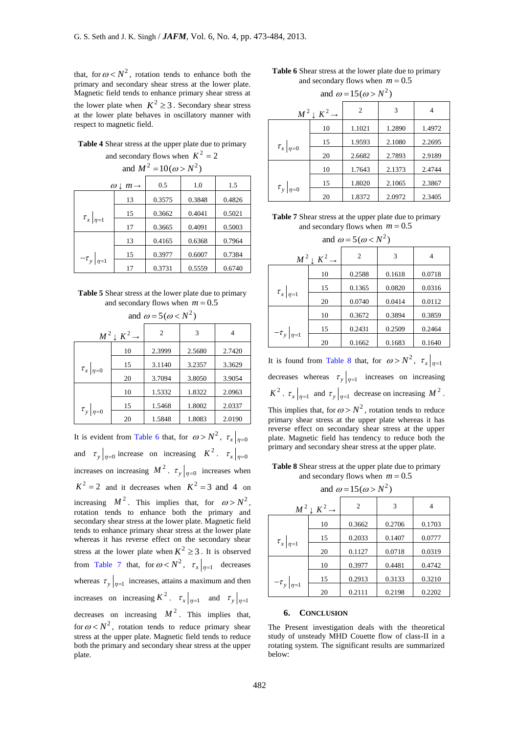that, for  $\omega < N^2$ , rotation tends to enhance both the primary and secondary shear stress at the lower plate. Magnetic field tends to enhance primary shear stress at the lower plate when  $K^2 \geq 3$ . Secondary shear stress at the lower plate behaves in oscillatory manner with respect to magnetic field.

**Table 4** Shear stress at the upper plate due to primary and secondary flows when  $K^2 = 2$ 

| and $M^2 = 10(\omega > N^2)$                           |    |        |        |        |  |  |
|--------------------------------------------------------|----|--------|--------|--------|--|--|
| 1.0<br>0.5<br>1.5<br>$\omega \downarrow m \rightarrow$ |    |        |        |        |  |  |
|                                                        | 13 | 0.3575 | 0.3848 | 0.4826 |  |  |
| $\tau_{x} _{\eta=1}$                                   | 15 | 0.3662 | 0.4041 | 0.5021 |  |  |
|                                                        | 17 | 0.3665 | 0.4091 | 0.5003 |  |  |
|                                                        | 13 | 0.4165 | 0.6368 | 0.7964 |  |  |
| $-\tau_y _{\eta=1}$                                    | 15 | 0.3977 | 0.6007 | 0.7384 |  |  |
|                                                        | 17 | 0.3731 | 0.5559 | 0.6740 |  |  |

**Table 5** Shear stress at the lower plate due to primary and secondary flows when  $m = 0.5$ 

| and $\omega = 5(\omega < N^2)$ |                                  |        |        |        |  |
|--------------------------------|----------------------------------|--------|--------|--------|--|
|                                | $M^2 \downarrow K^2 \rightarrow$ | 2      | 3      | 4      |  |
|                                | 10                               | 2.3999 | 2.5680 | 2.7420 |  |
| $\tau_{x} _{\eta=0}$           | 15                               | 3.1140 | 3.2357 | 3.3629 |  |
|                                | 20                               | 3.7094 | 3.8050 | 3.9054 |  |
|                                | 10                               | 1.5332 | 1.8322 | 2.0963 |  |
| $\tau_{y} _{\eta=0}$           | 15                               | 1.5468 | 1.8002 | 2.0337 |  |
|                                | 20                               | 1.5848 | 1.8083 | 2.0190 |  |

It is evident from Table 6 that, for  $\omega > N^2$ ,  $\tau_x|_{\eta=0}$ and  $\tau_y|_{\eta=0}$  increase on increasing  $K^2$ .  $\tau_x|_{\eta=0}$ increases on increasing  $M^2$ .  $\tau_y|_{\eta=0}$  increases when  $K^2 = 2$  and it decreases when  $K^2 = 3$  and 4 on increasing  $M^2$ . This implies that, for  $\omega > N^2$ , rotation tends to enhance both the primary and secondary shear stress at the lower plate. Magnetic field tends to enhance primary shear stress at the lower plate whereas it has reverse effect on the secondary shear stress at the lower plate when  $K^2 \geq 3$ . It is observed from Table 7 that, for  $\omega < N^2$ ,  $\tau_x |_{\eta=1}$  decreases whereas  $\tau_y|_{\eta=1}$  increases, attains a maximum and then increases on increasing  $K^2$ .  $\tau_x|_{\eta=1}$  and  $\tau_y|_{\eta=1}$ decreases on increasing  $M^2$ . This implies that, for  $\omega < N^2$ , rotation tends to reduce primary shear stress at the upper plate. Magnetic field tends to reduce both the primary and secondary shear stress at the upper plate.

# **Table 6** Shear stress at the lower plate due to primary and secondary flows when  $m = 0.5$

and  $\omega = 15(\omega > N^2)$ 

|                      | $M^2 \downarrow K^2 \rightarrow$ | 2      | 3      |        |
|----------------------|----------------------------------|--------|--------|--------|
|                      | 10                               | 1.1021 | 1.2890 | 1.4972 |
| $\tau_{x} _{\eta=0}$ | 15                               | 1.9593 | 2.1080 | 2.2695 |
|                      | 20                               | 2.6682 | 2.7893 | 2.9189 |
|                      | 10                               | 1.7643 | 2.1373 | 2.4744 |
| $\tau_{y} _{\eta=0}$ | 15                               | 1.8020 | 2.1065 | 2.3867 |
|                      | 20                               | 1.8372 | 2.0972 | 2.3405 |

**Table 7** Shear stress at the upper plate due to primary and secondary flows when  $m = 0.5$ 

and  $\omega = 5(\omega < N^2)$ 

|                       | $M^2 \downarrow K^2 \rightarrow$ | 2      | 3      | 4      |
|-----------------------|----------------------------------|--------|--------|--------|
|                       | 10                               | 0.2588 | 0.1618 | 0.0718 |
| $\tau_{x} _{\eta=1}$  | 15                               | 0.1365 | 0.0820 | 0.0316 |
|                       | 20                               | 0.0740 | 0.0414 | 0.0112 |
|                       | 10                               | 0.3672 | 0.3894 | 0.3859 |
| $-\tau_{y} _{\eta=1}$ | 15                               | 0.2431 | 0.2509 | 0.2464 |
|                       | 20                               | 0.1662 | 0.1683 | 0.1640 |

It is found from Table 8 that, for  $\omega > N^2$ ,  $\tau_x |_{\eta=1}$ decreases whereas  $\tau_y|_{\eta=1}$  increases on increasing  $K^2$ .  $\tau_x|_{\eta=1}$  and  $\tau_y|_{\eta=1}$  decrease on increasing  $M^2$ .

This implies that, for  $\omega > N^2$ , rotation tends to reduce primary shear stress at the upper plate whereas it has reverse effect on secondary shear stress at the upper plate. Magnetic field has tendency to reduce both the primary and secondary shear stress at the upper plate.

**Table 8** Shear stress at the upper plate due to primary and secondary flows when  $m = 0.5$ 

| and $\omega = 15(\omega > N^2)$ |  |
|---------------------------------|--|
|---------------------------------|--|

|                       | $M^2 \downarrow K^2 \rightarrow$ | $\overline{c}$ | 3      |        |
|-----------------------|----------------------------------|----------------|--------|--------|
|                       | 10                               | 0.3662         | 0.2706 | 0.1703 |
| $\tau_{x} _{\eta=1}$  | 15                               | 0.2033         | 0.1407 | 0.0777 |
|                       | 20                               | 0.1127         | 0.0718 | 0.0319 |
|                       | 10                               | 0.3977         | 0.4481 | 0.4742 |
| $-\tau_{y} _{\eta=1}$ | 15                               | 0.2913         | 0.3133 | 0.3210 |
|                       | 20                               | 0.2111         | 0.2198 | 0.2202 |

#### **6. CONCLUSION**

The Present investigation deals with the theoretical study of unsteady MHD Couette flow of class-II in a rotating system. The significant results are summarized below: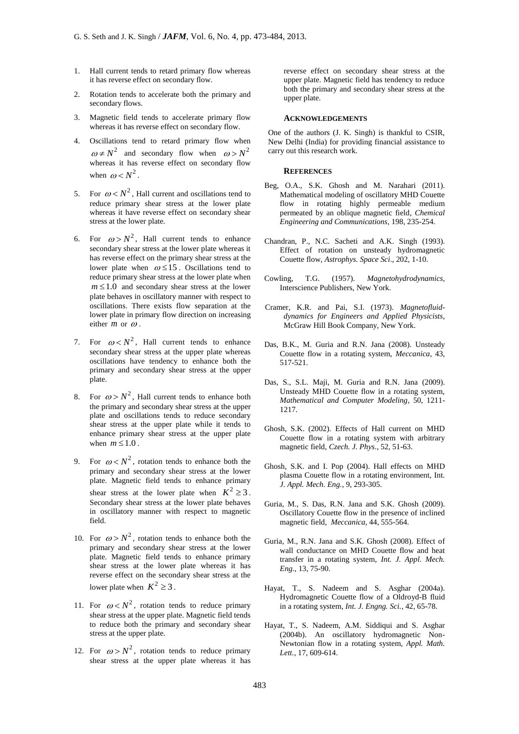- 1. Hall current tends to retard primary flow whereas it has reverse effect on secondary flow.
- 2. Rotation tends to accelerate both the primary and secondary flows.
- 3. Magnetic field tends to accelerate primary flow whereas it has reverse effect on secondary flow.
- 4. Oscillations tend to retard primary flow when  $\omega \neq N^2$  and secondary flow when  $\omega > N^2$ whereas it has reverse effect on secondary flow when  $\omega < N^2$ .
- 5. For  $\omega < N^2$ , Hall current and oscillations tend to reduce primary shear stress at the lower plate whereas it have reverse effect on secondary shear stress at the lower plate.
- 6. For  $\omega > N^2$ , Hall current tends to enhance secondary shear stress at the lower plate whereas it has reverse effect on the primary shear stress at the lower plate when  $\omega \le 15$ . Oscillations tend to reduce primary shear stress at the lower plate when  $m \leq 1.0$  and secondary shear stress at the lower plate behaves in oscillatory manner with respect to oscillations. There exists flow separation at the lower plate in primary flow direction on increasing either  $m$  or  $\omega$ .
- 7. For  $\omega < N^2$ , Hall current tends to enhance secondary shear stress at the upper plate whereas oscillations have tendency to enhance both the primary and secondary shear stress at the upper plate.
- 8. For  $\omega > N^2$ , Hall current tends to enhance both the primary and secondary shear stress at the upper plate and oscillations tends to reduce secondary shear stress at the upper plate while it tends to enhance primary shear stress at the upper plate when  $m \leq 1.0$ .
- 9. For  $\omega < N^2$ , rotation tends to enhance both the primary and secondary shear stress at the lower plate. Magnetic field tends to enhance primary shear stress at the lower plate when  $K^2 \geq 3$ . Secondary shear stress at the lower plate behaves in oscillatory manner with respect to magnetic field.
- 10. For  $\omega > N^2$ , rotation tends to enhance both the primary and secondary shear stress at the lower plate. Magnetic field tends to enhance primary shear stress at the lower plate whereas it has reverse effect on the secondary shear stress at the lower plate when  $K^2 \geq 3$ .
- 11. For  $\omega < N^2$ , rotation tends to reduce primary shear stress at the upper plate. Magnetic field tends to reduce both the primary and secondary shear stress at the upper plate.
- 12. For  $\omega > N^2$ , rotation tends to reduce primary shear stress at the upper plate whereas it has

reverse effect on secondary shear stress at the upper plate. Magnetic field has tendency to reduce both the primary and secondary shear stress at the upper plate.

#### **ACKNOWLEDGEMENTS**

One of the authors (J. K. Singh) is thankful to CSIR, New Delhi (India) for providing financial assistance to carry out this research work.

#### **REFERENCES**

- Beg, O.A., S.K. Ghosh and M. Narahari (2011). Mathematical modeling of oscillatory MHD Couette flow in rotating highly permeable medium permeated by an oblique magnetic field, *Chemical Engineering and Communications*, 198, 235-254.
- Chandran, P., N.C. Sacheti and A.K. Singh (1993). Effect of rotation on unsteady hydromagnetic Couette flow, *Astrophys. Space Sci*., 202, 1-10.
- Cowling, T.G. (1957). *Magnetohydrodynamics*, Interscience Publishers, New York.
- Cramer, K.R. and Pai, S.I. (1973). *Magnetofluiddynamics for Engineers and Applied Physicists*, McGraw Hill Book Company, New York.
- Das, B.K., M. Guria and R.N. Jana (2008). Unsteady Couette flow in a rotating system, *Meccanica*, 43, 517-521.
- Das, S., S.L. Maji, M. Guria and R.N. Jana (2009). Unsteady MHD Couette flow in a rotating system, *Mathematical and Computer Modeling*, 50, 1211- 1217.
- Ghosh, S.K. (2002). Effects of Hall current on MHD Couette flow in a rotating system with arbitrary magnetic field, *Czech. J. Phys*., 52, 51-63.
- Ghosh, S.K. and I. Pop (2004). Hall effects on MHD plasma Couette flow in a rotating environment, Int*. J. Appl. Mech. Eng.*, 9, 293-305.
- Guria, M., S. Das, R.N. Jana and S.K. Ghosh (2009). Oscillatory Couette flow in the presence of inclined magnetic field, *Meccanica*, 44, 555-564.
- Guria, M., R.N. Jana and S.K. Ghosh (2008). Effect of wall conductance on MHD Couette flow and heat transfer in a rotating system, *Int. J. Appl. Mech. Eng.*, 13, 75-90.
- Hayat, T., S. Nadeem and S. Asghar (2004a). Hydromagnetic Couette flow of a Oldroyd-B fluid in a rotating system, *Int. J. Engng. Sci.*, 42, 65-78.
- Hayat, T., S. Nadeem, A.M. Siddiqui and S. Asghar (2004b). An oscillatory hydromagnetic Non-Newtonian flow in a rotating system, *Appl. Math. Lett.*, 17, 609-614.